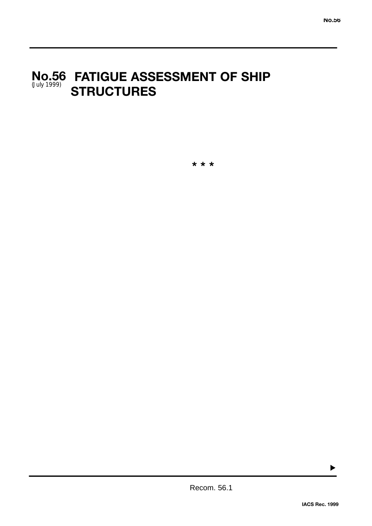# **FATIGUE ASSESSMENT OF SHIP No.56 STRUCTURES**  (July 1999)

**\* \* \***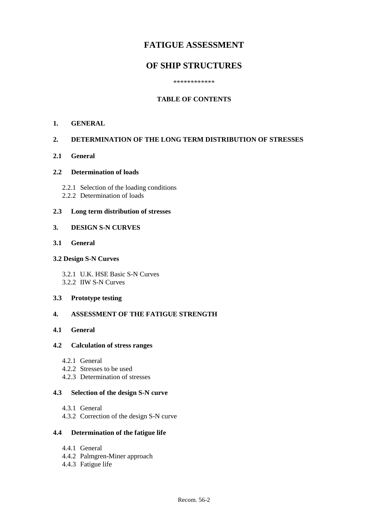# **FATIGUE ASSESSMENT**

## **OF SHIP STRUCTURES**

\*\*\*\*\*\*\*\*\*\*\*\*

## **TABLE OF CONTENTS**

#### **1. GENERAL**

#### **2. DETERMINATION OF THE LONG TERM DISTRIBUTION OF STRESSES**

**2.1 General**

#### **2.2 Determination of loads**

- 2.2.1 Selection of the loading conditions
- 2.2.2 Determination of loads

### **2.3 Long term distribution of stresses**

#### **3. DESIGN S-N CURVES**

## **3.1 General**

#### **3.2 Design S-N Curves**

3.2.1 U.K. HSE Basic S-N Curves 3.2.2 IIW S-N Curves

## **3.3 Prototype testing**

## **4. ASSESSMENT OF THE FATIGUE STRENGTH**

## **4.1 General**

#### **4.2 Calculation of stress ranges**

- 4.2.1 General
- 4.2.2 Stresses to be used
- 4.2.3 Determination of stresses

#### **4.3 Selection of the design S-N curve**

- 4.3.1 General
- 4.3.2 Correction of the design S-N curve

## **4.4 Determination of the fatigue life**

- 4.4.1 General
- 4.4.2 Palmgren-Miner approach
- 4.4.3 Fatigue life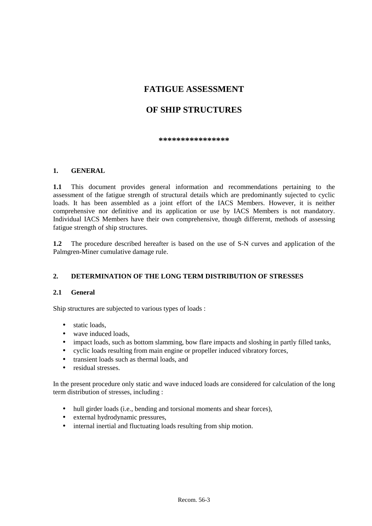# **FATIGUE ASSESSMENT**

# **OF SHIP STRUCTURES**

\*\*\*\*\*\*\*\*\*\*\*\*\*\*\*

## **1. GENERAL**

**1.1** This document provides general information and recommendations pertaining to the assessment of the fatigue strength of structural details which are predominantly sujected to cyclic loads. It has been assembled as a joint effort of the IACS Members. However, it is neither comprehensive nor definitive and its application or use by IACS Members is not mandatory. Individual IACS Members have their own comprehensive, though differernt, methods of assessing fatigue strength of ship structures.

**1.2** The procedure described hereafter is based on the use of S-N curves and application of the Palmgren-Miner cumulative damage rule.

## **2. DETERMINATION OF THE LONG TERM DISTRIBUTION OF STRESSES**

## **2.1 General**

Ship structures are subjected to various types of loads :

- static loads.
- wave induced loads.
- impact loads, such as bottom slamming, bow flare impacts and sloshing in partly filled tanks,
- cyclic loads resulting from main engine or propeller induced vibratory forces,
- transient loads such as thermal loads, and
- residual stresses.

In the present procedure only static and wave induced loads are considered for calculation of the long term distribution of stresses, including :

- hull girder loads (i.e., bending and torsional moments and shear forces),
- external hydrodynamic pressures,
- internal inertial and fluctuating loads resulting from ship motion.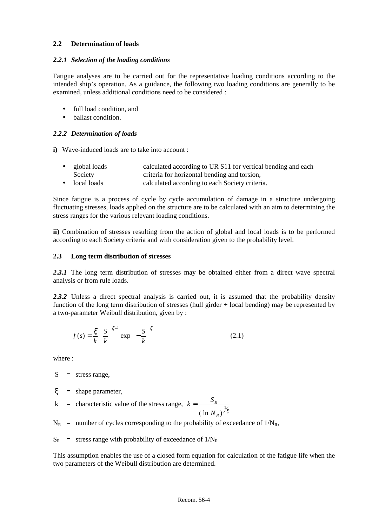#### **2.2 Determination of loads**

#### *2.2.1 Selection of the loading conditions*

Fatigue analyses are to be carried out for the representative loading conditions according to the intended ship's operation. As a guidance, the following two loading conditions are generally to be examined, unless additional conditions need to be considered :

- full load condition, and
- ballast condition.

## *2.2.2 Determination of loads*

**i)** Wave-induced loads are to take into account :

| global loads | calculated according to UR S11 for vertical bending and each |  |
|--------------|--------------------------------------------------------------|--|
| Society      | criteria for horizontal bending and torsion,                 |  |

• local loads calculated according to each Society criteria.

Since fatigue is a process of cycle by cycle accumulation of damage in a structure undergoing fluctuating stresses, loads applied on the structure are to be calculated with an aim to determining the stress ranges for the various relevant loading conditions.

**ii)** Combination of stresses resulting from the action of global and local loads is to be performed according to each Society criteria and with consideration given to the probability level.

## **2.3 Long term distribution of stresses**

2.3.1 The long term distribution of stresses may be obtained either from a direct wave spectral analysis or from rule loads.

2.3.2 Unless a direct spectral analysis is carried out, it is assumed that the probability density function of the long term distribution of stresses (hull girder + local bending) may be represented by a two-parameter Weibull distribution, given by :

$$
f(s) = \frac{\xi}{k} \left(\frac{S}{k}\right)^{\xi-1} \exp\left(-\frac{S}{k}\right)^{\xi}
$$
 (2.1)

where :

- $S =$  stress range,
- $\xi$  = shape parameter,
- k = characteristic value of the stress range,  $k = \frac{S}{S}$ *N R R* =  $(\ln N_R)^{\frac{1}{5}}$
- $N_R$  = number of cycles corresponding to the probability of exceedance of  $1/N_R$ ,
- $S_R$  = stress range with probability of exceedance of  $1/N_R$

This assumption enables the use of a closed form equation for calculation of the fatigue life when the two parameters of the Weibull distribution are determined.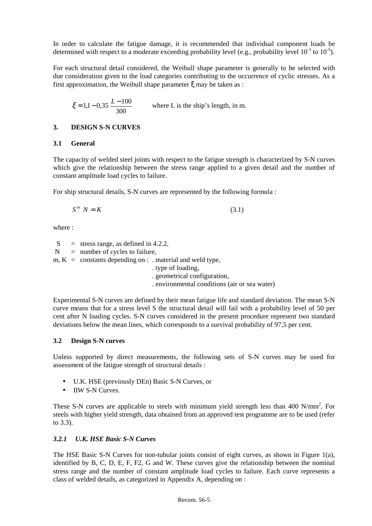In order to calculate the fatigue damage, it is recommended that individual component loads be determined with respect to a moderate exceeding probability level (e.g., probability level  $10^{-3}$  to  $10^{-5}$ ).

For each structural detail considered, the Weibull shape parameter is generally to be selected with due consideration given to the load categories contributing to the occurrence of cyclic stresses. As a first approximation, the Weibull shape parameter ξ may be taken as :

$$
\xi = 1,1 - 0,35 \frac{L - 100}{300}
$$
 where L is the ship's length, in m.

## **3. DESIGN S-N CURVES**

## **3.1 General**

The capacity of welded steel joints with respect to the fatigue strength is characterized by S-N curves which give the relationship between the stress range applied to a given detail and the number of constant amplitude load cycles to failure.

For ship structural details, S-N curves are represented by the following formula :

$$
S^m N = K \tag{3.1}
$$

where :

 $S =$  stress range, as defined in 4.2.2.

 $N =$  number of cycles to failure,

 $m, K =$  constants depending on : . material and weld type,

. type of loading,

. geometrical configuration,

. environmental conditions (air or sea water)

Experimental S-N curves are defined by their mean fatigue life and standard deviation. The mean S-N curve means that for a stress level S the structural detail will fail with a probability level of 50 per cent after N loading cycles. S-N curves considered in the present procedure represent two standard deviations below the mean lines, which corresponds to a survival probability of 97,5 per cent.

## **3.2 Design S-N curves**

Unless supported by direct measurements, the following sets of S-N curves may be used for assessment of the fatigue strength of structural details :

- U.K. HSE (previously DEn) Basic S-N Curves, or
- **IIW S-N Curves.**

These S-N curves are applicable to steels with minimum yield strength less than 400 N/mm<sup>2</sup>. For steels with higher yield strength, data obtained from an approved test programme are to be used (refer to 3.3).

## *3.2.1 U.K. HSE Basic S-N Curves*

The HSE Basic S-N Curves for non-tubular joints consist of eight curves, as shown in Figure 1(a), identified by B, C, D, E, F, F2, G and W. These curves give the relationship between the nominal stress range and the number of constant amplitude load cycles to failure. Each curve represents a class of welded details, as categorized in Appendix A, depending on :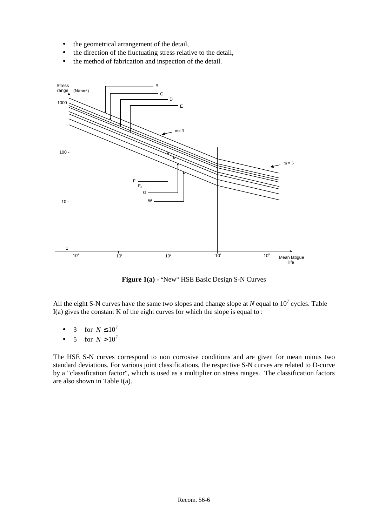- the geometrical arrangement of the detail,
- the direction of the fluctuating stress relative to the detail,
- the method of fabrication and inspection of the detail.



Figure 1(a) - "New" HSE Basic Design S-N Curves

All the eight S-N curves have the same two slopes and change slope at  $N$  equal to  $10^7$  cycles. Table I(a) gives the constant K of the eight curves for which the slope is equal to :

- 3 for  $N \le 10^7$
- 5 for  $N > 10^7$

The HSE S-N curves correspond to non corrosive conditions and are given for mean minus two standard deviations. For various joint classifications, the respective S-N curves are related to D-curve by a "classification factor", which is used as a multiplier on stress ranges. The classification factors are also shown in Table I(a).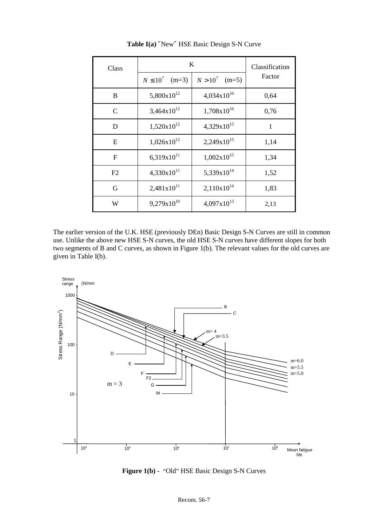| Class         | K                        |                         | Classification |
|---------------|--------------------------|-------------------------|----------------|
|               | $N \leq 10^7$<br>$(m=3)$ | $N > 10^{7}$<br>$(m=5)$ | Factor         |
| B             | $5,800x10^{12}$          | $4,034x10^{16}$         | 0,64           |
| $\mathcal{C}$ | $3,464x10^{12}$          | $1,708\times10^{16}$    | 0,76           |
| D             | $1,520x10^{12}$          | $4,329x10^{15}$         | 1              |
| E             | $1,026x10^{12}$          | $2,249x10^{15}$         | 1,14           |
| $\mathbf F$   | $6,319x10^{11}$          | $1,002 \times 10^{15}$  | 1,34           |
| F2            | $4,330x10^{11}$          | $5,339x10^{14}$         | 1,52           |
| G             | $2,481x10^{11}$          | $2,110x10^{14}$         | 1,83           |
| W             | $9,279x10^{10}$          | $4,097x10^{13}$         | 2,13           |

**Table I(a)** ″New″ HSE Basic Design S-N Curve

The earlier version of the U.K. HSE (previously DEn) Basic Design S-N Curves are still in common use. Unlike the above new HSE S-N curves, the old HSE S-N curves have different slopes for both two segments of B and C curves, as shown in Figure 1(b). The relevant values for the old curves are given in Table I(b).



**Figure 1(b) -** "Old" HSE Basic Design S-N Curves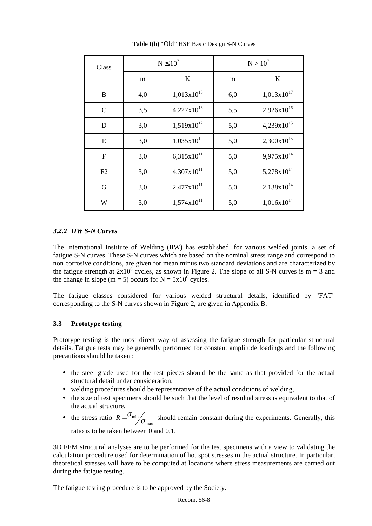| Class         | $N \leq 10^7$ |                        |     | $N > 10^{7}$           |
|---------------|---------------|------------------------|-----|------------------------|
|               | m             | K                      | m   | K                      |
| B             | 4,0           | $1,013x10^{15}$        | 6,0 | $1,013x10^{17}$        |
| $\mathcal{C}$ | 3,5           | $4,227\times10^{13}$   | 5,5 | $2,926x10^{16}$        |
| D             | 3,0           | $1,519x10^{12}$        | 5,0 | $4,239x10^{15}$        |
| E             | 3,0           | $1,035x10^{12}$        | 5,0 | $2,300x10^{15}$        |
| F             | 3,0           | $6,315x10^{11}$        | 5,0 | $9,975 \times 10^{14}$ |
| F2            | 3,0           | $4,307x10^{11}$        | 5,0 | $5,278x10^{14}$        |
| G             | 3,0           | $2,477 \times 10^{11}$ | 5,0 | $2,138x10^{14}$        |
| W             | 3,0           | $1,574x10^{11}$        | 5,0 | $1,016x10^{14}$        |

**Table I(b)** "Old" HSE Basic Design S-N Curves

#### *3.2.2 IIW S-N Curves*

The International Institute of Welding (IIW) has established, for various welded joints, a set of fatigue S-N curves. These S-N curves which are based on the nominal stress range and correspond to non corrosive conditions, are given for mean minus two standard deviations and are characterized by the fatigue strength at  $2x10^6$  cycles, as shown in Figure 2. The slope of all S-N curves is m = 3 and the change in slope (m = 5) occurs for  $N = 5x10^6$  cycles.

The fatigue classes considered for various welded structural details, identified by "FAT" corresponding to the S-N curves shown in Figure 2, are given in Appendix B.

## **3.3 Prototype testing**

Prototype testing is the most direct way of assessing the fatigue strength for particular structural details. Fatigue tests may be generally performed for constant amplitude loadings and the following precautions should be taken :

- the steel grade used for the test pieces should be the same as that provided for the actual structural detail under consideration,
- welding procedures should be representative of the actual conditions of welding,
- the size of test specimens should be such that the level of residual stress is equivalent to that of the actual structure,
- the stress ratio  $R = \frac{\sigma_{\min}}{\sigma}$ should remain constant during the experiments. Generally, this ratio is to be taken between 0 and 0,1.

3D FEM structural analyses are to be performed for the test specimens with a view to validating the calculation procedure used for determination of hot spot stresses in the actual structure. In particular, theoretical stresses will have to be computed at locations where stress measurements are carried out during the fatigue testing.

The fatigue testing procedure is to be approved by the Society.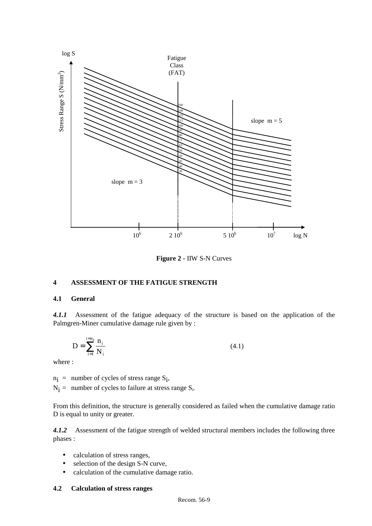

**Figure 2 -** IIW S-N Curves

#### **4 ASSESSMENT OF THE FATIGUE STRENGTH**

## **4.1 General**

*4.1.1* Assessment of the fatigue adequacy of the structure is based on the application of the Palmgren-Miner cumulative damage rule given by :

$$
D = \sum_{i=1}^{i=n_k} \frac{n_i}{N_i}
$$
 (4.1)

where :

 $n_i$  = number of cycles of stress range  $S_i$ ,

 $N_i$  = number of cycles to failure at stress range  $S_i$ .

From this definition, the structure is generally considered as failed when the cumulative damage ratio D is equal to unity or greater.

*4.1.2* Assessment of the fatigue strength of welded structural members includes the following three phases :

- calculation of stress ranges,
- selection of the design S-N curve,
- calculation of the cumulative damage ratio.

#### **4.2 Calculation of stress ranges**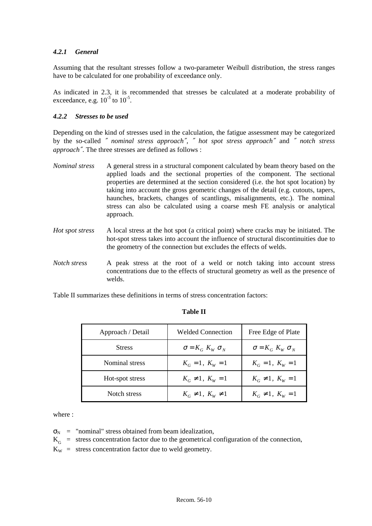#### *4.2.1 General*

Assuming that the resultant stresses follow a two-parameter Weibull distribution, the stress ranges have to be calculated for one probability of exceedance only.

As indicated in 2.3, it is recommended that stresses be calculated at a moderate probability of exceedance, e.g.  $10^{-3}$  to  $10^{-5}$ .

#### *4.2.2 Stresses to be used*

Depending on the kind of stresses used in the calculation, the fatigue assessment may be categorized by the so-called ″ *nominal stress approach*″*,* ″ *hot spot stress approach*″ and ″ *notch stress approach*″. The three stresses are defined as follows :

- *Nominal stress* A general stress in a structural component calculated by beam theory based on the applied loads and the sectional properties of the component. The sectional properties are determined at the section considered (i.e. the hot spot location) by taking into account the gross geometric changes of the detail (e.g. cutouts, tapers, haunches, brackets, changes of scantlings, misalignments, etc.). The nominal stress can also be calculated using a coarse mesh FE analysis or analytical approach.
- *Hot spot stress* A local stress at the hot spot (a critical point) where cracks may be initiated. The hot-spot stress takes into account the influence of structural discontinuities due to the geometry of the connection but excludes the effects of welds.
- *Notch stress* A peak stress at the root of a weld or notch taking into account stress concentrations due to the effects of structural geometry as well as the presence of welds.

Table II summarizes these definitions in terms of stress concentration factors:

| Approach / Detail | Welded Connection           | Free Edge of Plate          |
|-------------------|-----------------------------|-----------------------------|
| <b>Stress</b>     | $\sigma = K_G K_W \sigma_V$ | $\sigma = K_G K_W \sigma_V$ |
| Nominal stress    | $K_G = 1, K_W = 1$          | $K_G = 1, K_W = 1$          |
| Hot-spot stress   | $K_G \neq 1$ , $K_W = 1$    | $K_G \neq 1$ , $K_W = 1$    |
| Notch stress      | $K_G \neq 1, K_W \neq 1$    | $K_G \neq 1, K_W = 1$       |

#### **Table II**

where  $\cdot$ 

 $\sigma_N$  = "nominal" stress obtained from beam idealization,

- $K_G$  = stress concentration factor due to the geometrical configuration of the connection,
- $K_W$  = stress concentration factor due to weld geometry.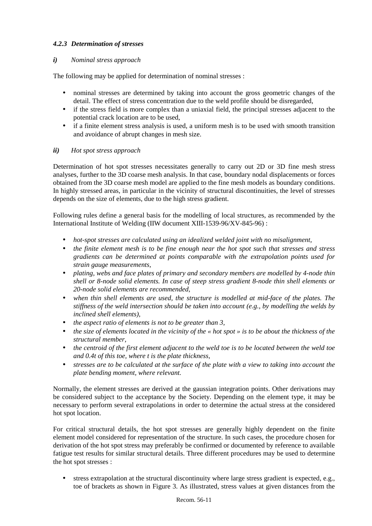## *4.2.3 Determination of stresses*

## *i) Nominal stress approach*

The following may be applied for determination of nominal stresses :

- nominal stresses are determined by taking into account the gross geometric changes of the detail. The effect of stress concentration due to the weld profile should be disregarded,
- if the stress field is more complex than a uniaxial field, the principal stresses adjacent to the potential crack location are to be used,
- if a finite element stress analysis is used, a uniform mesh is to be used with smooth transition and avoidance of abrupt changes in mesh size.

## *ii) Hot spot stress approach*

Determination of hot spot stresses necessitates generally to carry out 2D or 3D fine mesh stress analyses, further to the 3D coarse mesh analysis. In that case, boundary nodal displacements or forces obtained from the 3D coarse mesh model are applied to the fine mesh models as boundary conditions. In highly stressed areas, in particular in the vicinity of structural discontinuities, the level of stresses depends on the size of elements, due to the high stress gradient.

Following rules define a general basis for the modelling of local structures, as recommended by the International Institute of Welding (IIW document XIII-1539-96/XV-845-96) :

- *hot-spot stresses are calculated using an idealized welded joint with no misalignment,*
- *the finite element mesh is to be fine enough near the hot spot such that stresses and stress gradients can be determined at points comparable with the extrapolation points used for strain gauge measurements,*
- *plating, webs and face plates of primary and secondary members are modelled by 4-node thin shell or 8-node solid elements. In case of steep stress gradient 8-node thin shell elements or 20-node solid elements are recommended,*
- *when thin shell elements are used, the structure is modelled at mid-face of the plates. The stiffness of the weld intersection should be taken into account (e.g., by modelling the welds by inclined shell elements),*
- *the aspect ratio of elements is not to be greater than 3,*
- *the size of elements located in the vicinity of the « hot spot » is to be about the thickness of the structural member,*
- *the centroid of the first element adjacent to the weld toe is to be located between the weld toe and 0.4t of this toe, where t is the plate thickness,*
- *stresses are to be calculated at the surface of the plate with a view to taking into account the plate bending moment, where relevant.*

Normally, the element stresses are derived at the gaussian integration points. Other derivations may be considered subject to the acceptance by the Society. Depending on the element type, it may be necessary to perform several extrapolations in order to determine the actual stress at the considered hot spot location.

For critical structural details, the hot spot stresses are generally highly dependent on the finite element model considered for representation of the structure. In such cases, the procedure chosen for derivation of the hot spot stress may preferably be confirmed or documented by reference to available fatigue test results for similar structural details. Three different procedures may be used to determine the hot spot stresses :

• stress extrapolation at the structural discontinuity where large stress gradient is expected, e.g., toe of brackets as shown in Figure 3. As illustrated, stress values at given distances from the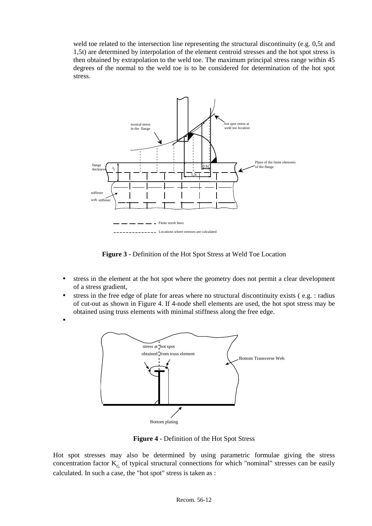weld toe related to the intersection line representing the structural discontinuity (e.g. 0,5t and 1,5t) are determined by interpolation of the element centroid stresses and the hot spot stress is then obtained by extrapolation to the weld toe. The maximum principal stress range within 45 degrees of the normal to the weld toe is to be considered for determination of the hot spot stress.



**Figure 3 -** Definition of the Hot Spot Stress at Weld Toe Location

- stress in the element at the hot spot where the geometry does not permit a clear development of a stress gradient,
- stress in the free edge of plate for areas where no structural discontinuity exists (e.g. : radius of cut-out as shown in Figure 4. If 4-node shell elements are used, the hot spot stress may be obtained using truss elements with minimal stiffness along the free edge.
- •



**Figure 4 -** Definition of the Hot Spot Stress

Hot spot stresses may also be determined by using parametric formulae giving the stress concentration factor  $K<sub>c</sub>$  of typical structural connections for which "nominal" stresses can be easily calculated. In such a case, the "hot spot" stress is taken as :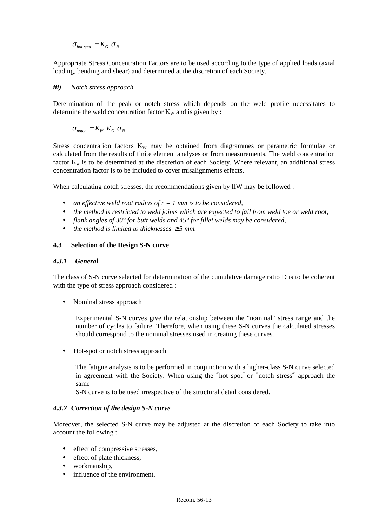$$
\sigma_{hot\ spot} = K_G \sigma_N
$$

Appropriate Stress Concentration Factors are to be used according to the type of applied loads (axial loading, bending and shear) and determined at the discretion of each Society.

#### *iii) Notch stress approach*

Determination of the peak or notch stress which depends on the weld profile necessitates to determine the weld concentration factor  $K_W$  and is given by :

 $\sigma_{\textit{notch}} = K_w K_c \sigma_w$ 

Stress concentration factors  $K_W$  may be obtained from diagrammes or parametric formulae or calculated from the results of finite element analyses or from measurements. The weld concentration factor  $K_w$  is to be determined at the discretion of each Society. Where relevant, an additional stress concentration factor is to be included to cover misalignments effects.

When calculating notch stresses, the recommendations given by IIW may be followed :

- *an effective weld root radius of r = 1 mm is to be considered,*
- *the method is restricted to weld joints which are expected to fail from weld toe or weld root,*
- *flank angles of 30° for butt welds and 45° for fillet welds may be considered,*
- *the method is limited to thicknesses*  $\geq$  5 *mm.*

#### **4.3 Selection of the Design S-N curve**

#### *4.3.1 General*

The class of S-N curve selected for determination of the cumulative damage ratio D is to be coherent with the type of stress approach considered :

• Nominal stress approach

Experimental S-N curves give the relationship between the "nominal" stress range and the number of cycles to failure. Therefore, when using these S-N curves the calculated stresses should correspond to the nominal stresses used in creating these curves.

• Hot-spot or notch stress approach

The fatigue analysis is to be performed in conjunction with a higher-class S-N curve selected in agreement with the Society. When using the ″hot spot″ or ″notch stress″ approach the same

S-N curve is to be used irrespective of the structural detail considered.

#### *4.3.2 Correction of the design S-N curve*

Moreover, the selected S-N curve may be adjusted at the discretion of each Society to take into account the following :

- effect of compressive stresses.
- effect of plate thickness,
- workmanship,
- influence of the environment.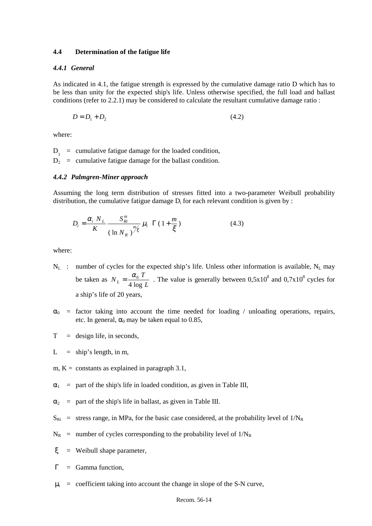#### **4.4 Determination of the fatigue life**

#### *4.4.1 General*

As indicated in 4.1, the fatigue strength is expressed by the cumulative damage ratio D which has to be less than unity for the expected ship's life. Unless otherwise specified, the full load and ballast conditions (refer to 2.2.1) may be considered to calculate the resultant cumulative damage ratio :

$$
D = D_1 + D_2 \tag{4.2}
$$

where:

 $D_1$  = cumulative fatigue damage for the loaded condition,  $D_2$  = cumulative fatigue damage for the ballast condition.

#### *4.4.2 Palmgren-Miner approach*

Assuming the long term distribution of stresses fitted into a two-parameter Weibull probability distribution, the cumulative fatigue damage  $D_i$  for each relevant condition is given by :

$$
D_i = \frac{\alpha_i N_L}{K} \frac{S_{Ri}^m}{\left(\ln N_R\right)^{m/\xi}} \mu_i \Gamma\left(1 + \frac{m}{\xi}\right) \tag{4.3}
$$

where:

- $N_L$  : number of cycles for the expected ship's life. Unless other information is available,  $N_L$  may be taken as  $N_L = \frac{\alpha_0 T}{4 \log L}$ . The value is generally between 0,5x10<sup>8</sup> and 0,7x10<sup>8</sup> cycles for a ship's life of 20 years,
- $\alpha_0$  = factor taking into account the time needed for loading / unloading operations, repairs, etc. In general,  $\alpha_0$  may be taken equal to 0.85,
- $T =$  design life, in seconds,
- $L =$  ship's length, in m,
- m,  $K =$  constants as explained in paragraph 3.1,
- $\alpha_1$  = part of the ship's life in loaded condition, as given in Table III,
- $\alpha_2$  = part of the ship's life in ballast, as given in Table III.
- $S_{\text{Ri}}$  = stress range, in MPa, for the basic case considered, at the probability level of  $1/N_R$
- $N_R$  = number of cycles corresponding to the probability level of  $1/N_R$
- $\zeta$  = Weibull shape parameter,
- $\Gamma$  = Gamma function,
- $\mu_i$  = coefficient taking into account the change in slope of the S-N curve,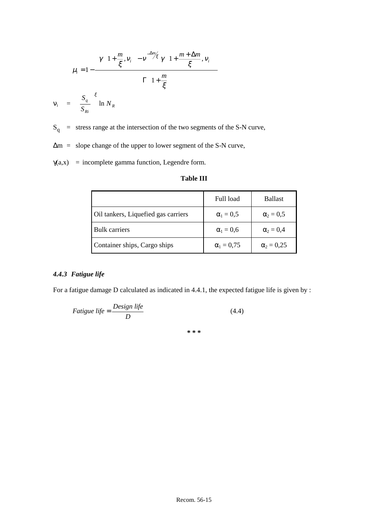$$
\mu_i = 1 - \frac{\left\{\gamma \left(1 + \frac{m}{\xi}, v_i\right) - v^{-\frac{\Delta m}{\xi}} \gamma \left(1 + \frac{m + \Delta m}{\xi}, v_i\right)\right\}}{\Gamma \left(1 + \frac{m}{\xi}\right)}
$$

$$
= \left(\frac{S_q}{S_{Ri}}\right)^{\xi} \ln N_R
$$

 $S_q$  = stress range at the intersection of the two segments of the S-N curve,

∆m = slope change of the upper to lower segment of the S-N curve,

 $\gamma(a,x)$  = incomplete gamma function, Legendre form.

#### **Table III**

|                                     | Full load         | <b>Ballast</b>    |
|-------------------------------------|-------------------|-------------------|
| Oil tankers, Liquefied gas carriers | $\alpha_1 = 0.5$  | $\alpha_2 = 0.5$  |
| <b>Bulk carriers</b>                | $\alpha_1 = 0,6$  | $\alpha_2 = 0.4$  |
| Container ships, Cargo ships        | $\alpha_1 = 0.75$ | $\alpha_2 = 0.25$ |

#### *4.4.3 Fatigue life*

 $v_i$ 

For a fatigue damage D calculated as indicated in 4.4.1, the expected fatigue life is given by :

$$
Fatigue life = \frac{Design life}{D} \tag{4.4}
$$

**\* \* \***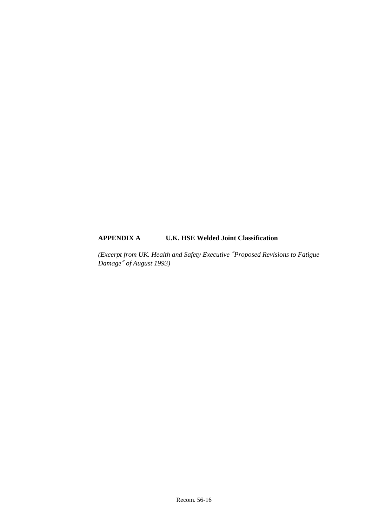## **APPENDIX A U.K. HSE Welded Joint Classification**

*(Excerpt from UK. Health and Safety Executive* ″*Proposed Revisions to Fatigue Damage*″ *of August 1993)*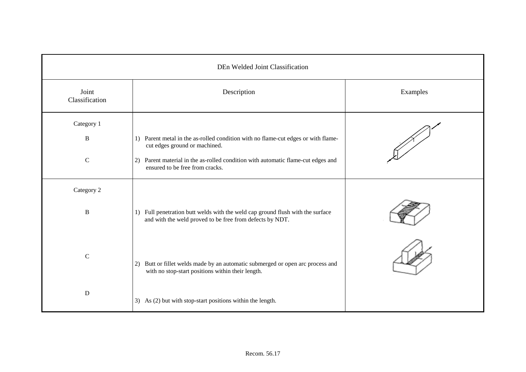|                         | DEn Welded Joint Classification                                                                                                                         |          |  |  |
|-------------------------|---------------------------------------------------------------------------------------------------------------------------------------------------------|----------|--|--|
| Joint<br>Classification | Description                                                                                                                                             | Examples |  |  |
| Category 1<br>B         | 1) Parent metal in the as-rolled condition with no flame-cut edges or with flame-                                                                       |          |  |  |
| ${\bf C}$               | cut edges ground or machined.<br>Parent material in the as-rolled condition with automatic flame-cut edges and<br>2)<br>ensured to be free from cracks. |          |  |  |
| Category 2              |                                                                                                                                                         |          |  |  |
| $\, {\bf B}$            | 1) Full penetration butt welds with the weld cap ground flush with the surface<br>and with the weld proved to be free from defects by NDT.              |          |  |  |
| $\mathbf C$             | Butt or fillet welds made by an automatic submerged or open arc process and<br>2)<br>with no stop-start positions within their length.                  |          |  |  |
| ${\bf D}$               | 3) As (2) but with stop-start positions within the length.                                                                                              |          |  |  |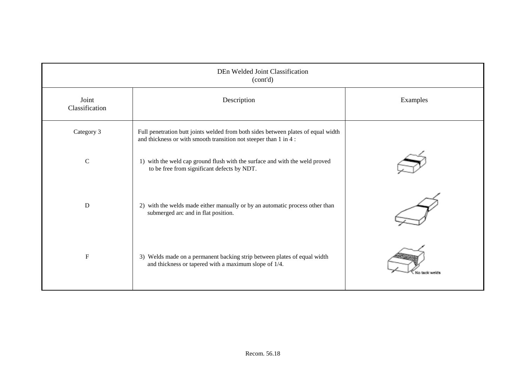| DEn Welded Joint Classification<br>(cont'd) |                                                                                                                                                        |               |  |
|---------------------------------------------|--------------------------------------------------------------------------------------------------------------------------------------------------------|---------------|--|
| Joint<br>Classification                     | Description                                                                                                                                            | Examples      |  |
| Category 3                                  | Full penetration butt joints welded from both sides between plates of equal width<br>and thickness or with smooth transition not steeper than 1 in 4 : |               |  |
| $\mathbf C$                                 | 1) with the weld cap ground flush with the surface and with the weld proved<br>to be free from significant defects by NDT.                             |               |  |
| $\mathbf D$                                 | 2) with the welds made either manually or by an automatic process other than<br>submerged arc and in flat position.                                    |               |  |
| $\mathbf F$                                 | 3) Welds made on a permanent backing strip between plates of equal width<br>and thickness or tapered with a maximum slope of 1/4.                      | No tank welds |  |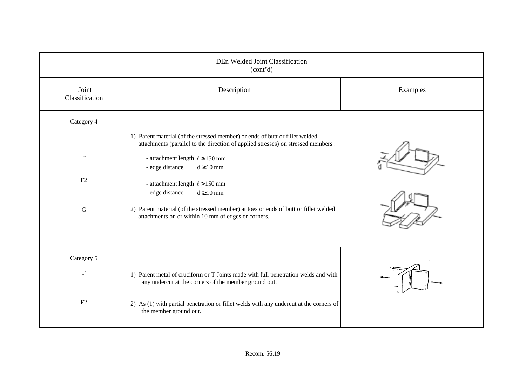| DEn Welded Joint Classification<br>(cont'd) |                                                                                                                                                                   |          |  |
|---------------------------------------------|-------------------------------------------------------------------------------------------------------------------------------------------------------------------|----------|--|
| Joint<br>Classification                     | Description                                                                                                                                                       | Examples |  |
| Category 4                                  | 1) Parent material (of the stressed member) or ends of butt or fillet welded<br>attachments (parallel to the direction of applied stresses) on stressed members : |          |  |
| $\boldsymbol{\mathrm{F}}$                   | - attachment length $\ell \le 150$ mm<br>- edge distance<br>$d \ge 10$ mm                                                                                         |          |  |
| F2                                          | - attachment length $\ell$ > 150 mm<br>$d \ge 10$ mm<br>- edge distance                                                                                           |          |  |
| $\mathbf G$                                 | 2) Parent material (of the stressed member) at toes or ends of butt or fillet welded<br>attachments on or within 10 mm of edges or corners.                       |          |  |
| Category 5                                  |                                                                                                                                                                   |          |  |
| ${\bf F}$                                   | 1) Parent metal of cruciform or T Joints made with full penetration welds and with<br>any undercut at the corners of the member ground out.                       |          |  |
| F2                                          | 2) As (1) with partial penetration or fillet welds with any undercut at the corners of<br>the member ground out.                                                  |          |  |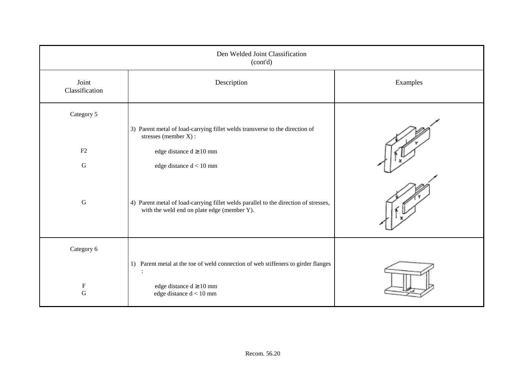| Den Welded Joint Classification<br>(cont'd) |                                                                                                                                     |          |  |  |
|---------------------------------------------|-------------------------------------------------------------------------------------------------------------------------------------|----------|--|--|
| Joint<br>Classification                     | Description                                                                                                                         | Examples |  |  |
| Category 5                                  |                                                                                                                                     |          |  |  |
|                                             | 3) Parent metal of load-carrying fillet welds transverse to the direction of<br>stresses (member X):                                |          |  |  |
| F2                                          | edge distance d $\geq 10$ mm                                                                                                        |          |  |  |
| $\mathsf G$                                 | edge distance $d < 10\;{\rm mm}$                                                                                                    |          |  |  |
| $\mathbf G$                                 | 4) Parent metal of load-carrying fillet welds parallel to the direction of stresses,<br>with the weld end on plate edge (member Y). |          |  |  |
| Category 6                                  |                                                                                                                                     |          |  |  |
|                                             | 1) Parent metal at the toe of weld connection of web stiffeners to girder flanges<br>$\ddot{\cdot}$                                 |          |  |  |
| $\boldsymbol{\mathrm{F}}$<br>$\mathbf G$    | edge distance $d \ge 10$ mm<br>edge distance $d < 10$ mm                                                                            |          |  |  |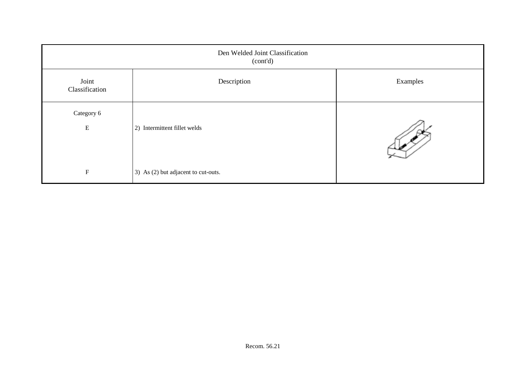| Den Welded Joint Classification<br>(cont'd) |                                     |          |  |
|---------------------------------------------|-------------------------------------|----------|--|
| Joint<br>Classification                     | Description                         | Examples |  |
| Category 6<br>${\bf E}$                     | 2) Intermittent fillet welds        |          |  |
| $\mathbf F$                                 | 3) As (2) but adjacent to cut-outs. |          |  |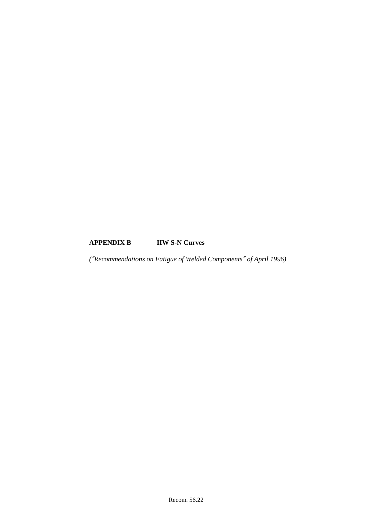## **APPENDIX B IIW S-N Curves**

*(*″*Recommendations on Fatigue of Welded Components*″ *of April 1996)*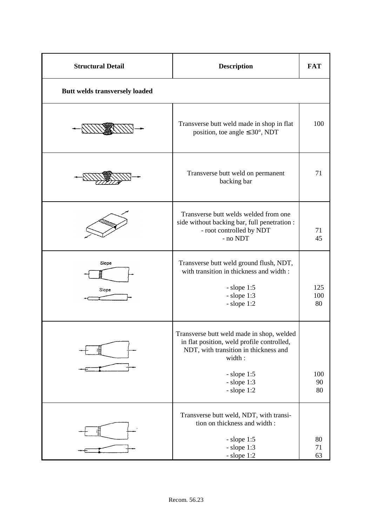| <b>Structural Detail</b>       | <b>Description</b>                                                                                                                                                                              | <b>FAT</b>       |
|--------------------------------|-------------------------------------------------------------------------------------------------------------------------------------------------------------------------------------------------|------------------|
| Butt welds transversely loaded |                                                                                                                                                                                                 |                  |
|                                | Transverse butt weld made in shop in flat<br>position, toe angle $\leq 30^{\circ}$ , NDT                                                                                                        | 100              |
|                                | Transverse butt weld on permanent<br>backing bar                                                                                                                                                | 71               |
|                                | Transverse butt welds welded from one<br>side without backing bar, full penetration :<br>- root controlled by NDT<br>- no NDT                                                                   | 71<br>45         |
| Siope<br>Slope                 | Transverse butt weld ground flush, NDT,<br>with transition in thickness and width:<br>$-$ slope 1:5<br>$-$ slope 1:3<br>$-$ slope 1:2                                                           | 125<br>100<br>80 |
|                                | Transverse butt weld made in shop, welded<br>in flat position, weld profile controlled,<br>NDT, with transition in thickness and<br>width:<br>$-$ slope 1:5<br>$-$ slope $1:3$<br>$-$ slope 1:2 | 100<br>90<br>80  |
| 眉                              | Transverse butt weld, NDT, with transi-<br>tion on thickness and width:<br>$-$ slope 1:5<br>$-$ slope $1:3$<br>$-$ slope $1:2$                                                                  | 80<br>71<br>63   |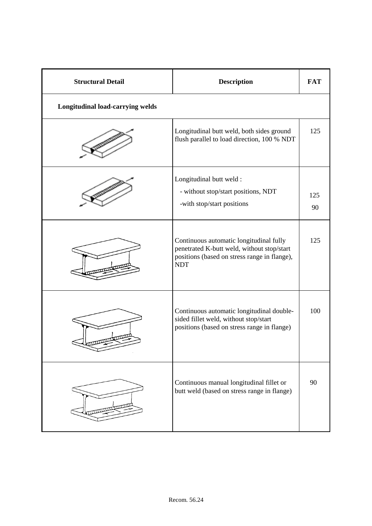| <b>Structural Detail</b>                | <b>Description</b>                                                                                                                                  | <b>FAT</b> |
|-----------------------------------------|-----------------------------------------------------------------------------------------------------------------------------------------------------|------------|
| <b>Longitudinal load-carrying welds</b> |                                                                                                                                                     |            |
|                                         | Longitudinal butt weld, both sides ground<br>flush parallel to load direction, 100 % NDT                                                            | 125        |
|                                         | Longitudinal butt weld :<br>- without stop/start positions, NDT<br>-with stop/start positions                                                       | 125<br>90  |
|                                         | Continuous automatic longitudinal fully<br>penetrated K-butt weld, without stop/start<br>positions (based on stress range in flange),<br><b>NDT</b> | 125        |
| mm                                      | Continuous automatic longitudinal double-<br>sided fillet weld, without stop/start<br>positions (based on stress range in flange)                   | 100        |
|                                         | Continuous manual longitudinal fillet or<br>butt weld (based on stress range in flange)                                                             | 90         |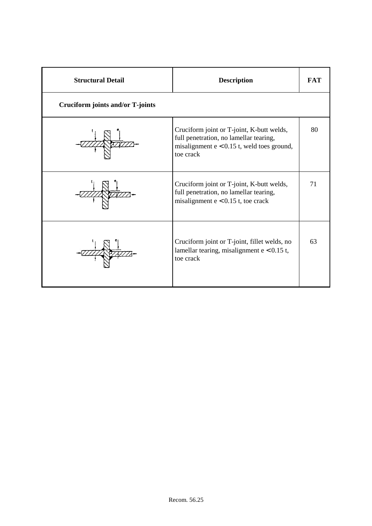| <b>Structural Detail</b>         | <b>Description</b>                                                                                                                               | <b>FAT</b> |
|----------------------------------|--------------------------------------------------------------------------------------------------------------------------------------------------|------------|
| Cruciform joints and/or T-joints |                                                                                                                                                  |            |
|                                  | Cruciform joint or T-joint, K-butt welds,<br>full penetration, no lamellar tearing,<br>misalignment $e < 0.15$ t, weld toes ground,<br>toe crack | 80         |
|                                  | Cruciform joint or T-joint, K-butt welds,<br>full penetration, no lamellar tearing,<br>misalignment $e < 0.15$ t, toe crack                      | 71         |
|                                  | Cruciform joint or T-joint, fillet welds, no<br>lamellar tearing, misalignment $e < 0.15$ t,<br>toe crack                                        | 63         |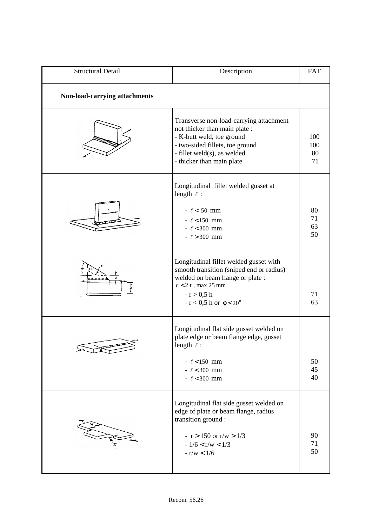| <b>Structural Detail</b>      | Description                                                                                                                                                                                           | <b>FAT</b>             |  |
|-------------------------------|-------------------------------------------------------------------------------------------------------------------------------------------------------------------------------------------------------|------------------------|--|
| Non-load-carrying attachments |                                                                                                                                                                                                       |                        |  |
|                               | Transverse non-load-carrying attachment<br>not thicker than main plate :<br>- K-butt weld, toe ground<br>- two-sided fillets, toe ground<br>- fillet weld(s), as welded<br>- thicker than main plate  | 100<br>100<br>80<br>71 |  |
|                               | Longitudinal fillet welded gusset at<br>length $\ell$ :<br>$ \ell$ < 50 mm<br>$ \ell$ < 150 mm<br>$ \ell$ < 300 mm<br>$ \ell$ > 300 mm                                                                | 80<br>71<br>63<br>50   |  |
|                               | Longitudinal fillet welded gusset with<br>smooth transition (sniped end or radius)<br>welded on beam flange or plate :<br>$c < 2t$ , max 25 mm<br>$-r > 0.5 h$<br>$-r < 0.5$ h or $\phi < 20^{\circ}$ | 71<br>63               |  |
|                               | Longitudinal flat side gusset welded on<br>plate edge or beam flange edge, gusset<br>length $\ell$ :<br>$ \ell$ < 150 mm<br>$ \ell$ < 300 mm<br>$ \ell$ < 300 mm                                      | 50<br>45<br>40         |  |
|                               | Longitudinal flat side gusset welded on<br>edge of plate or beam flange, radius<br>transition ground :<br>$- r > 150$ or r/w $> 1/3$<br>$-1/6 < r/w < 1/3$<br>$- r/w < 1/6$                           | 90<br>71<br>50         |  |